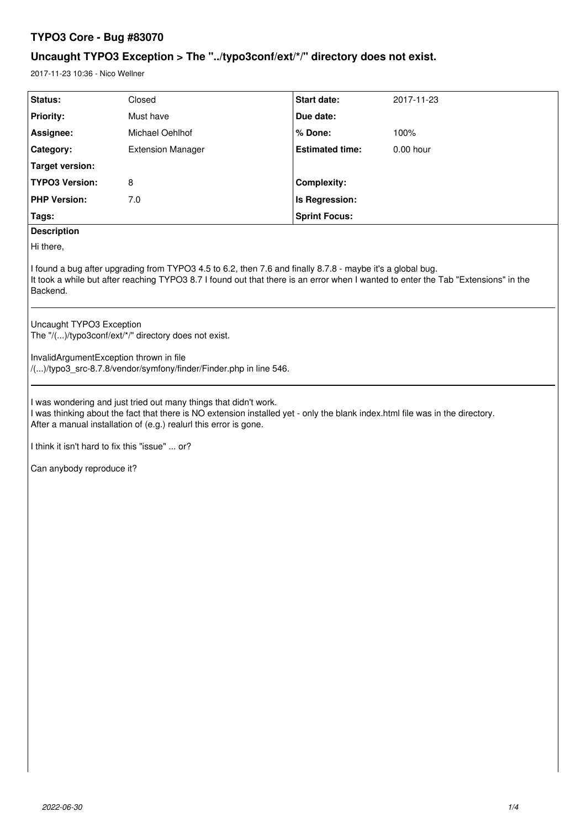# **TYPO3 Core - Bug #83070**

# **Uncaught TYPO3 Exception > The "../typo3conf/ext/\*/" directory does not exist.**

2017-11-23 10:36 - Nico Wellner

| Status:                                                                                                                                                                                                                                                                | Closed                   | Start date:            | 2017-11-23 |
|------------------------------------------------------------------------------------------------------------------------------------------------------------------------------------------------------------------------------------------------------------------------|--------------------------|------------------------|------------|
| <b>Priority:</b>                                                                                                                                                                                                                                                       | Must have                | Due date:              |            |
| Assignee:                                                                                                                                                                                                                                                              | Michael Oehlhof          | % Done:                | 100%       |
| Category:                                                                                                                                                                                                                                                              | <b>Extension Manager</b> | <b>Estimated time:</b> | 0.00 hour  |
| <b>Target version:</b>                                                                                                                                                                                                                                                 |                          |                        |            |
| <b>TYPO3 Version:</b>                                                                                                                                                                                                                                                  | 8                        | Complexity:            |            |
| <b>PHP Version:</b>                                                                                                                                                                                                                                                    | 7.0                      | <b>Is Regression:</b>  |            |
| Tags:                                                                                                                                                                                                                                                                  |                          | <b>Sprint Focus:</b>   |            |
| <b>Description</b>                                                                                                                                                                                                                                                     |                          |                        |            |
| Hi there,                                                                                                                                                                                                                                                              |                          |                        |            |
| I found a bug after upgrading from TYPO3 4.5 to 6.2, then 7.6 and finally 8.7.8 - maybe it's a global bug.<br>It took a while but after reaching TYPO3 8.7 I found out that there is an error when I wanted to enter the Tab "Extensions" in the<br>Backend.           |                          |                        |            |
| Uncaught TYPO3 Exception<br>The "/()/typo3conf/ext/*/" directory does not exist.                                                                                                                                                                                       |                          |                        |            |
| InvalidArgumentException thrown in file<br>/()/typo3_src-8.7.8/vendor/symfony/finder/Finder.php in line 546.                                                                                                                                                           |                          |                        |            |
| I was wondering and just tried out many things that didn't work.<br>I was thinking about the fact that there is NO extension installed yet - only the blank index.html file was in the directory.<br>After a manual installation of (e.g.) realurl this error is gone. |                          |                        |            |
| I think it isn't hard to fix this "issue"  or?                                                                                                                                                                                                                         |                          |                        |            |
| Can anybody reproduce it?                                                                                                                                                                                                                                              |                          |                        |            |
|                                                                                                                                                                                                                                                                        |                          |                        |            |
|                                                                                                                                                                                                                                                                        |                          |                        |            |
|                                                                                                                                                                                                                                                                        |                          |                        |            |
|                                                                                                                                                                                                                                                                        |                          |                        |            |
|                                                                                                                                                                                                                                                                        |                          |                        |            |
|                                                                                                                                                                                                                                                                        |                          |                        |            |
|                                                                                                                                                                                                                                                                        |                          |                        |            |
|                                                                                                                                                                                                                                                                        |                          |                        |            |
|                                                                                                                                                                                                                                                                        |                          |                        |            |
|                                                                                                                                                                                                                                                                        |                          |                        |            |
|                                                                                                                                                                                                                                                                        |                          |                        |            |
|                                                                                                                                                                                                                                                                        |                          |                        |            |
|                                                                                                                                                                                                                                                                        |                          |                        |            |
|                                                                                                                                                                                                                                                                        |                          |                        |            |
|                                                                                                                                                                                                                                                                        |                          |                        |            |
|                                                                                                                                                                                                                                                                        |                          |                        |            |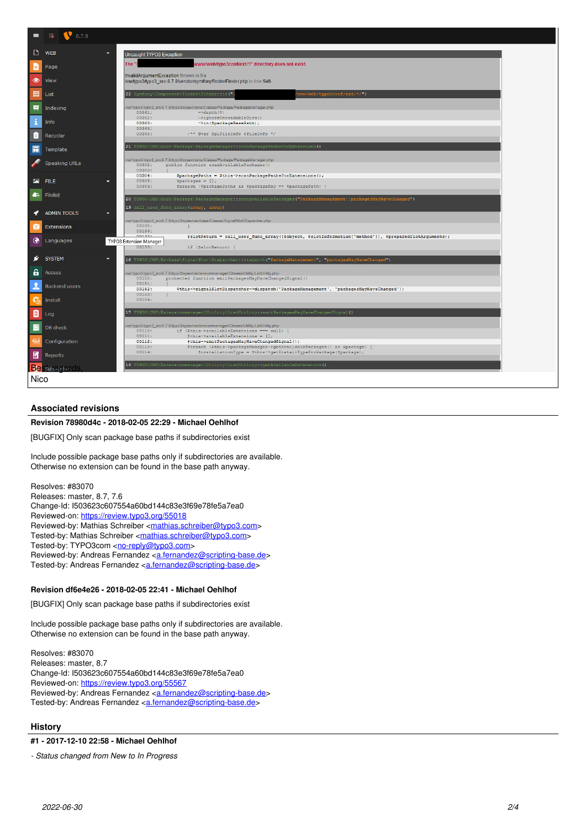

# **Associated revisions**

#### **Revision 78980d4c - 2018-02-05 22:29 - Michael Oehlhof**

[BUGFIX] Only scan package base paths if subdirectories exist

Include possible package base paths only if subdirectories are available. Otherwise no extension can be found in the base path anyway.

Resolves: #83070 Releases: master, 8.7, 7.6 Change-Id: I503623c607554a60bd144c83e3f69e78fe5a7ea0 Reviewed-on:<https://review.typo3.org/55018> Reviewed-by: Mathias Schreiber [<mathias.schreiber@typo3.com](mailto:mathias.schreiber@typo3.com)> Tested-by: Mathias Schreiber <[mathias.schreiber@typo3.com>](mailto:mathias.schreiber@typo3.com) Tested-by: TYPO3com [<no-reply@typo3.com](mailto:no-reply@typo3.com)> Reviewed-by: Andreas Fernandez [<a.fernandez@scripting-base.de](mailto:a.fernandez@scripting-base.de)> Tested-by: Andreas Fernandez [<a.fernandez@scripting-base.de>](mailto:a.fernandez@scripting-base.de)

#### **Revision df6e4e26 - 2018-02-05 22:41 - Michael Oehlhof**

[BUGFIX] Only scan package base paths if subdirectories exist

Include possible package base paths only if subdirectories are available. Otherwise no extension can be found in the base path anyway.

Resolves: #83070 Releases: master, 8.7 Change-Id: I503623c607554a60bd144c83e3f69e78fe5a7ea0 Reviewed-on:<https://review.typo3.org/55567> Reviewed-by: Andreas Fernandez [<a.fernandez@scripting-base.de](mailto:a.fernandez@scripting-base.de)> Tested-by: Andreas Fernandez [<a.fernandez@scripting-base.de>](mailto:a.fernandez@scripting-base.de)

## **History**

# **#1 - 2017-12-10 22:58 - Michael Oehlhof**

*- Status changed from New to In Progress*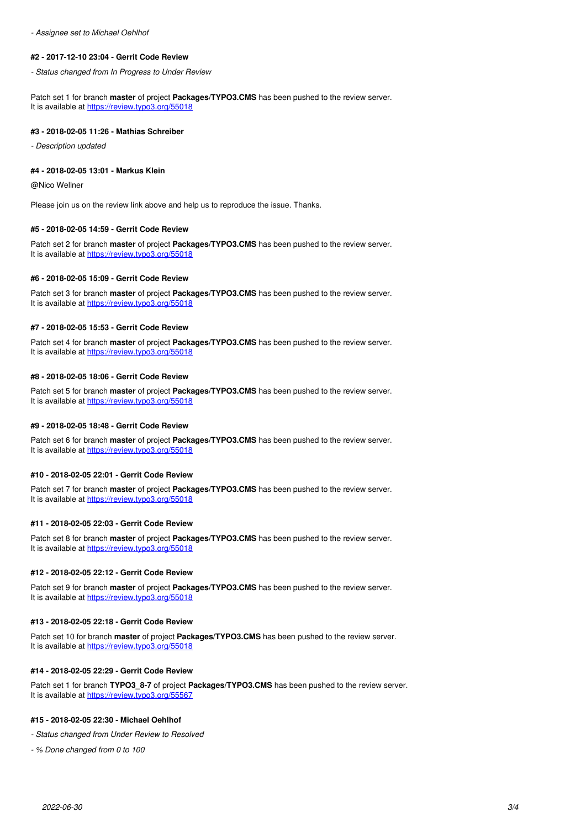*- Assignee set to Michael Oehlhof*

#### **#2 - 2017-12-10 23:04 - Gerrit Code Review**

*- Status changed from In Progress to Under Review*

Patch set 1 for branch **master** of project **Packages/TYPO3.CMS** has been pushed to the review server. It is available at <https://review.typo3.org/55018>

#### **#3 - 2018-02-05 11:26 - Mathias Schreiber**

*- Description updated*

#### **#4 - 2018-02-05 13:01 - Markus Klein**

@Nico Wellner

Please join us on the review link above and help us to reproduce the issue. Thanks.

#### **#5 - 2018-02-05 14:59 - Gerrit Code Review**

Patch set 2 for branch **master** of project **Packages/TYPO3.CMS** has been pushed to the review server. It is available at <https://review.typo3.org/55018>

#### **#6 - 2018-02-05 15:09 - Gerrit Code Review**

Patch set 3 for branch **master** of project **Packages/TYPO3.CMS** has been pushed to the review server. It is available at <https://review.typo3.org/55018>

#### **#7 - 2018-02-05 15:53 - Gerrit Code Review**

Patch set 4 for branch **master** of project **Packages/TYPO3.CMS** has been pushed to the review server. It is available at <https://review.typo3.org/55018>

#### **#8 - 2018-02-05 18:06 - Gerrit Code Review**

Patch set 5 for branch **master** of project **Packages/TYPO3.CMS** has been pushed to the review server. It is available at <https://review.typo3.org/55018>

#### **#9 - 2018-02-05 18:48 - Gerrit Code Review**

Patch set 6 for branch **master** of project **Packages/TYPO3.CMS** has been pushed to the review server. It is available at <https://review.typo3.org/55018>

#### **#10 - 2018-02-05 22:01 - Gerrit Code Review**

Patch set 7 for branch **master** of project **Packages/TYPO3.CMS** has been pushed to the review server. It is available at <https://review.typo3.org/55018>

#### **#11 - 2018-02-05 22:03 - Gerrit Code Review**

Patch set 8 for branch **master** of project **Packages/TYPO3.CMS** has been pushed to the review server. It is available at <https://review.typo3.org/55018>

#### **#12 - 2018-02-05 22:12 - Gerrit Code Review**

Patch set 9 for branch **master** of project **Packages/TYPO3.CMS** has been pushed to the review server. It is available at <https://review.typo3.org/55018>

#### **#13 - 2018-02-05 22:18 - Gerrit Code Review**

Patch set 10 for branch **master** of project **Packages/TYPO3.CMS** has been pushed to the review server. It is available at <https://review.typo3.org/55018>

#### **#14 - 2018-02-05 22:29 - Gerrit Code Review**

Patch set 1 for branch **TYPO3\_8-7** of project **Packages/TYPO3.CMS** has been pushed to the review server. It is available at <https://review.typo3.org/55567>

#### **#15 - 2018-02-05 22:30 - Michael Oehlhof**

*- Status changed from Under Review to Resolved*

*- % Done changed from 0 to 100*